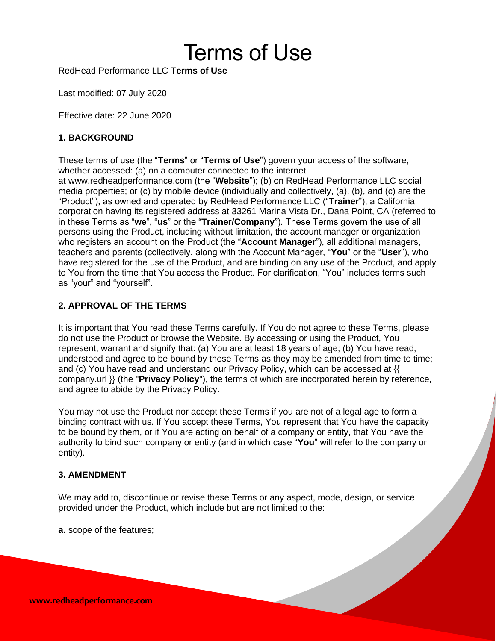# Terms of Use

RedHead Performance LLC **Terms of Use**

Last modified: 07 July 2020

Effective date: 22 June 2020

## **1. BACKGROUND**

These terms of use (the "**Terms**" or "**Terms of Use**") govern your access of the software, whether accessed: (a) on a computer connected to the internet at www.redheadperformance.com (the "**Website**"); (b) on RedHead Performance LLC social media properties; or (c) by mobile device (individually and collectively, (a), (b), and (c) are the "Product"), as owned and operated by RedHead Performance LLC ("**Trainer**"), a California corporation having its registered address at 33261 Marina Vista Dr., Dana Point, CA (referred to in these Terms as "**we**", "**us**" or the "**Trainer/Company**"). These Terms govern the use of all persons using the Product, including without limitation, the account manager or organization who registers an account on the Product (the "**Account Manager**"), all additional managers, teachers and parents (collectively, along with the Account Manager, "**You**" or the "**User**"), who have registered for the use of the Product, and are binding on any use of the Product, and apply to You from the time that You access the Product. For clarification, "You" includes terms such as "your" and "yourself".

## **2. APPROVAL OF THE TERMS**

It is important that You read these Terms carefully. If You do not agree to these Terms, please do not use the Product or browse the Website. By accessing or using the Product, You represent, warrant and signify that: (a) You are at least 18 years of age; (b) You have read, understood and agree to be bound by these Terms as they may be amended from time to time; and (c) You have read and understand our Privacy Policy, which can be accessed at {{ company.url }} (the "**Privacy Policy**"), the terms of which are incorporated herein by reference, and agree to abide by the Privacy Policy.

You may not use the Product nor accept these Terms if you are not of a legal age to form a binding contract with us. If You accept these Terms, You represent that You have the capacity to be bound by them, or if You are acting on behalf of a company or entity, that You have the authority to bind such company or entity (and in which case "**You**" will refer to the company or entity).

## **3. AMENDMENT**

We may add to, discontinue or revise these Terms or any aspect, mode, design, or service provided under the Product, which include but are not limited to the:

**a.** scope of the features;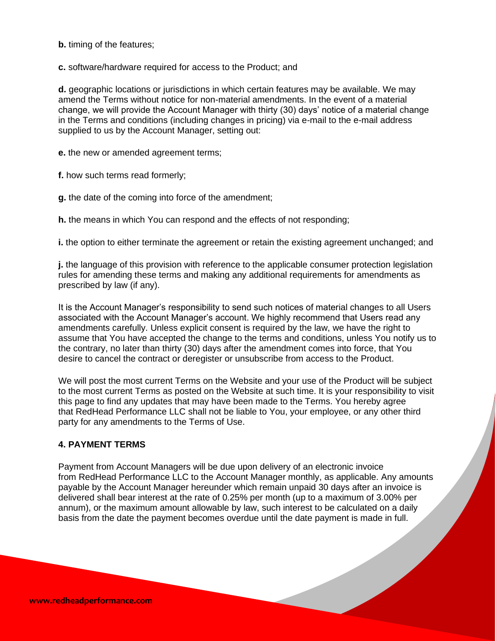**b.** timing of the features;

**c.** software/hardware required for access to the Product; and

**d.** geographic locations or jurisdictions in which certain features may be available. We may amend the Terms without notice for non-material amendments. In the event of a material change, we will provide the Account Manager with thirty (30) days' notice of a material change in the Terms and conditions (including changes in pricing) via e-mail to the e-mail address supplied to us by the Account Manager, setting out:

**e.** the new or amended agreement terms;

**f.** how such terms read formerly;

**g.** the date of the coming into force of the amendment;

**h.** the means in which You can respond and the effects of not responding;

**i.** the option to either terminate the agreement or retain the existing agreement unchanged; and

**j.** the language of this provision with reference to the applicable consumer protection legislation rules for amending these terms and making any additional requirements for amendments as prescribed by law (if any).

It is the Account Manager's responsibility to send such notices of material changes to all Users associated with the Account Manager's account. We highly recommend that Users read any amendments carefully. Unless explicit consent is required by the law, we have the right to assume that You have accepted the change to the terms and conditions, unless You notify us to the contrary, no later than thirty (30) days after the amendment comes into force, that You desire to cancel the contract or deregister or unsubscribe from access to the Product.

We will post the most current Terms on the Website and your use of the Product will be subject to the most current Terms as posted on the Website at such time. It is your responsibility to visit this page to find any updates that may have been made to the Terms. You hereby agree that RedHead Performance LLC shall not be liable to You, your employee, or any other third party for any amendments to the Terms of Use.

## **4. PAYMENT TERMS**

Payment from Account Managers will be due upon delivery of an electronic invoice from RedHead Performance LLC to the Account Manager monthly, as applicable. Any amounts payable by the Account Manager hereunder which remain unpaid 30 days after an invoice is delivered shall bear interest at the rate of 0.25% per month (up to a maximum of 3.00% per annum), or the maximum amount allowable by law, such interest to be calculated on a daily basis from the date the payment becomes overdue until the date payment is made in full.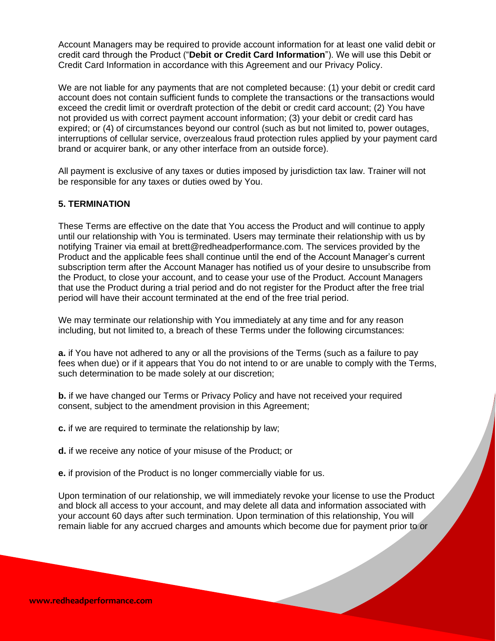Account Managers may be required to provide account information for at least one valid debit or credit card through the Product ("**Debit or Credit Card Information**"). We will use this Debit or Credit Card Information in accordance with this Agreement and our Privacy Policy.

We are not liable for any payments that are not completed because: (1) your debit or credit card account does not contain sufficient funds to complete the transactions or the transactions would exceed the credit limit or overdraft protection of the debit or credit card account; (2) You have not provided us with correct payment account information; (3) your debit or credit card has expired; or (4) of circumstances beyond our control (such as but not limited to, power outages, interruptions of cellular service, overzealous fraud protection rules applied by your payment card brand or acquirer bank, or any other interface from an outside force).

All payment is exclusive of any taxes or duties imposed by jurisdiction tax law. Trainer will not be responsible for any taxes or duties owed by You.

## **5. TERMINATION**

These Terms are effective on the date that You access the Product and will continue to apply until our relationship with You is terminated. Users may terminate their relationship with us by notifying Trainer via email at brett@redheadperformance.com. The services provided by the Product and the applicable fees shall continue until the end of the Account Manager's current subscription term after the Account Manager has notified us of your desire to unsubscribe from the Product, to close your account, and to cease your use of the Product. Account Managers that use the Product during a trial period and do not register for the Product after the free trial period will have their account terminated at the end of the free trial period.

We may terminate our relationship with You immediately at any time and for any reason including, but not limited to, a breach of these Terms under the following circumstances:

**a.** if You have not adhered to any or all the provisions of the Terms (such as a failure to pay fees when due) or if it appears that You do not intend to or are unable to comply with the Terms, such determination to be made solely at our discretion;

**b.** if we have changed our Terms or Privacy Policy and have not received your required consent, subject to the amendment provision in this Agreement;

**c.** if we are required to terminate the relationship by law;

**d.** if we receive any notice of your misuse of the Product; or

**e.** if provision of the Product is no longer commercially viable for us.

Upon termination of our relationship, we will immediately revoke your license to use the Product and block all access to your account, and may delete all data and information associated with your account 60 days after such termination. Upon termination of this relationship, You will remain liable for any accrued charges and amounts which become due for payment prior to or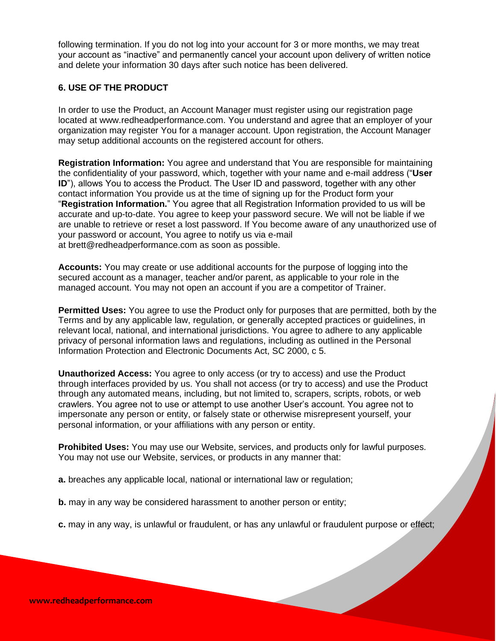following termination. If you do not log into your account for 3 or more months, we may treat your account as "inactive" and permanently cancel your account upon delivery of written notice and delete your information 30 days after such notice has been delivered.

## **6. USE OF THE PRODUCT**

In order to use the Product, an Account Manager must register using our registration page located at www.redheadperformance.com. You understand and agree that an employer of your organization may register You for a manager account. Upon registration, the Account Manager may setup additional accounts on the registered account for others.

**Registration Information:** You agree and understand that You are responsible for maintaining the confidentiality of your password, which, together with your name and e-mail address ("**User ID**"), allows You to access the Product. The User ID and password, together with any other contact information You provide us at the time of signing up for the Product form your "**Registration Information.**" You agree that all Registration Information provided to us will be accurate and up-to-date. You agree to keep your password secure. We will not be liable if we are unable to retrieve or reset a lost password. If You become aware of any unauthorized use of your password or account, You agree to notify us via e-mail at brett@redheadperformance.com as soon as possible.

**Accounts:** You may create or use additional accounts for the purpose of logging into the secured account as a manager, teacher and/or parent, as applicable to your role in the managed account. You may not open an account if you are a competitor of Trainer.

**Permitted Uses:** You agree to use the Product only for purposes that are permitted, both by the Terms and by any applicable law, regulation, or generally accepted practices or guidelines, in relevant local, national, and international jurisdictions. You agree to adhere to any applicable privacy of personal information laws and regulations, including as outlined in the Personal Information Protection and Electronic Documents Act, SC 2000, c 5.

**Unauthorized Access:** You agree to only access (or try to access) and use the Product through interfaces provided by us. You shall not access (or try to access) and use the Product through any automated means, including, but not limited to, scrapers, scripts, robots, or web crawlers. You agree not to use or attempt to use another User's account. You agree not to impersonate any person or entity, or falsely state or otherwise misrepresent yourself, your personal information, or your affiliations with any person or entity.

**Prohibited Uses:** You may use our Website, services, and products only for lawful purposes. You may not use our Website, services, or products in any manner that:

**a.** breaches any applicable local, national or international law or regulation;

**b.** may in any way be considered harassment to another person or entity;

**c.** may in any way, is unlawful or fraudulent, or has any unlawful or fraudulent purpose or effect;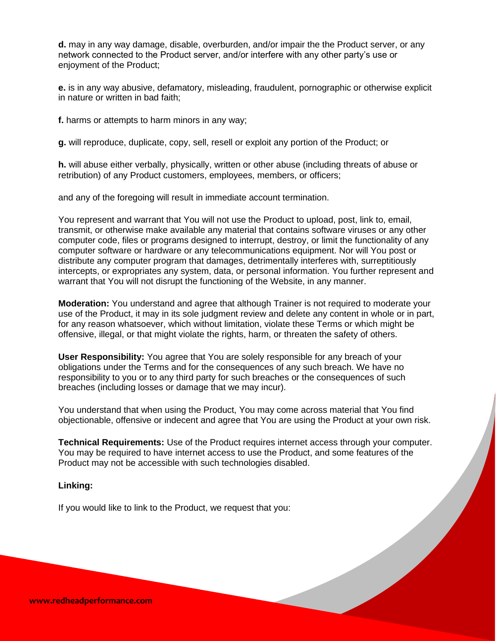**d.** may in any way damage, disable, overburden, and/or impair the the Product server, or any network connected to the Product server, and/or interfere with any other party's use or enjoyment of the Product;

**e.** is in any way abusive, defamatory, misleading, fraudulent, pornographic or otherwise explicit in nature or written in bad faith;

**f.** harms or attempts to harm minors in any way;

**g.** will reproduce, duplicate, copy, sell, resell or exploit any portion of the Product; or

**h.** will abuse either verbally, physically, written or other abuse (including threats of abuse or retribution) of any Product customers, employees, members, or officers;

and any of the foregoing will result in immediate account termination.

You represent and warrant that You will not use the Product to upload, post, link to, email, transmit, or otherwise make available any material that contains software viruses or any other computer code, files or programs designed to interrupt, destroy, or limit the functionality of any computer software or hardware or any telecommunications equipment. Nor will You post or distribute any computer program that damages, detrimentally interferes with, surreptitiously intercepts, or expropriates any system, data, or personal information. You further represent and warrant that You will not disrupt the functioning of the Website, in any manner.

**Moderation:** You understand and agree that although Trainer is not required to moderate your use of the Product, it may in its sole judgment review and delete any content in whole or in part, for any reason whatsoever, which without limitation, violate these Terms or which might be offensive, illegal, or that might violate the rights, harm, or threaten the safety of others.

**User Responsibility:** You agree that You are solely responsible for any breach of your obligations under the Terms and for the consequences of any such breach. We have no responsibility to you or to any third party for such breaches or the consequences of such breaches (including losses or damage that we may incur).

You understand that when using the Product, You may come across material that You find objectionable, offensive or indecent and agree that You are using the Product at your own risk.

**Technical Requirements:** Use of the Product requires internet access through your computer. You may be required to have internet access to use the Product, and some features of the Product may not be accessible with such technologies disabled.

#### **Linking:**

If you would like to link to the Product, we request that you: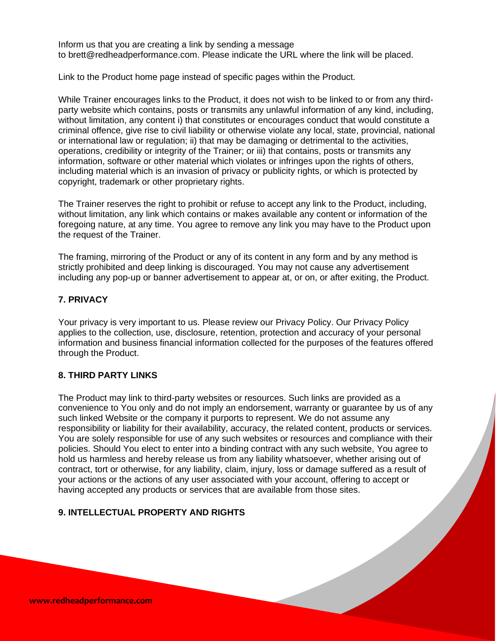Inform us that you are creating a link by sending a message to brett@redheadperformance.com. Please indicate the URL where the link will be placed.

Link to the Product home page instead of specific pages within the Product.

While Trainer encourages links to the Product, it does not wish to be linked to or from any thirdparty website which contains, posts or transmits any unlawful information of any kind, including, without limitation, any content i) that constitutes or encourages conduct that would constitute a criminal offence, give rise to civil liability or otherwise violate any local, state, provincial, national or international law or regulation; ii) that may be damaging or detrimental to the activities, operations, credibility or integrity of the Trainer; or iii) that contains, posts or transmits any information, software or other material which violates or infringes upon the rights of others, including material which is an invasion of privacy or publicity rights, or which is protected by copyright, trademark or other proprietary rights.

The Trainer reserves the right to prohibit or refuse to accept any link to the Product, including, without limitation, any link which contains or makes available any content or information of the foregoing nature, at any time. You agree to remove any link you may have to the Product upon the request of the Trainer.

The framing, mirroring of the Product or any of its content in any form and by any method is strictly prohibited and deep linking is discouraged. You may not cause any advertisement including any pop-up or banner advertisement to appear at, or on, or after exiting, the Product.

## **7. PRIVACY**

Your privacy is very important to us. Please review our Privacy Policy. Our Privacy Policy applies to the collection, use, disclosure, retention, protection and accuracy of your personal information and business financial information collected for the purposes of the features offered through the Product.

## **8. THIRD PARTY LINKS**

The Product may link to third-party websites or resources. Such links are provided as a convenience to You only and do not imply an endorsement, warranty or guarantee by us of any such linked Website or the company it purports to represent. We do not assume any responsibility or liability for their availability, accuracy, the related content, products or services. You are solely responsible for use of any such websites or resources and compliance with their policies. Should You elect to enter into a binding contract with any such website, You agree to hold us harmless and hereby release us from any liability whatsoever, whether arising out of contract, tort or otherwise, for any liability, claim, injury, loss or damage suffered as a result of your actions or the actions of any user associated with your account, offering to accept or having accepted any products or services that are available from those sites.

# **9. INTELLECTUAL PROPERTY AND RIGHTS**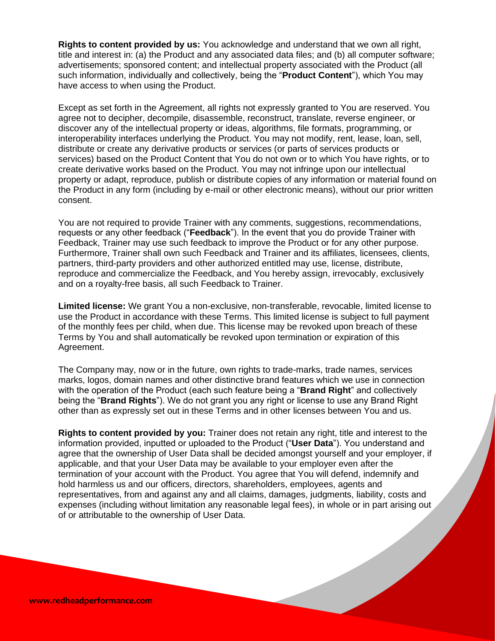**Rights to content provided by us:** You acknowledge and understand that we own all right, title and interest in: (a) the Product and any associated data files; and (b) all computer software; advertisements; sponsored content; and intellectual property associated with the Product (all such information, individually and collectively, being the "**Product Content**"), which You may have access to when using the Product.

Except as set forth in the Agreement, all rights not expressly granted to You are reserved. You agree not to decipher, decompile, disassemble, reconstruct, translate, reverse engineer, or discover any of the intellectual property or ideas, algorithms, file formats, programming, or interoperability interfaces underlying the Product. You may not modify, rent, lease, loan, sell, distribute or create any derivative products or services (or parts of services products or services) based on the Product Content that You do not own or to which You have rights, or to create derivative works based on the Product. You may not infringe upon our intellectual property or adapt, reproduce, publish or distribute copies of any information or material found on the Product in any form (including by e-mail or other electronic means), without our prior written consent.

You are not required to provide Trainer with any comments, suggestions, recommendations, requests or any other feedback ("**Feedback**"). In the event that you do provide Trainer with Feedback, Trainer may use such feedback to improve the Product or for any other purpose. Furthermore, Trainer shall own such Feedback and Trainer and its affiliates, licensees, clients, partners, third-party providers and other authorized entitled may use, license, distribute, reproduce and commercialize the Feedback, and You hereby assign, irrevocably, exclusively and on a royalty-free basis, all such Feedback to Trainer.

**Limited license:** We grant You a non-exclusive, non-transferable, revocable, limited license to use the Product in accordance with these Terms. This limited license is subject to full payment of the monthly fees per child, when due. This license may be revoked upon breach of these Terms by You and shall automatically be revoked upon termination or expiration of this Agreement.

The Company may, now or in the future, own rights to trade-marks, trade names, services marks, logos, domain names and other distinctive brand features which we use in connection with the operation of the Product (each such feature being a "**Brand Right**" and collectively being the "**Brand Rights**"). We do not grant you any right or license to use any Brand Right other than as expressly set out in these Terms and in other licenses between You and us.

**Rights to content provided by you:** Trainer does not retain any right, title and interest to the information provided, inputted or uploaded to the Product ("**User Data**"). You understand and agree that the ownership of User Data shall be decided amongst yourself and your employer, if applicable, and that your User Data may be available to your employer even after the termination of your account with the Product. You agree that You will defend, indemnify and hold harmless us and our officers, directors, shareholders, employees, agents and representatives, from and against any and all claims, damages, judgments, liability, costs and expenses (including without limitation any reasonable legal fees), in whole or in part arising out of or attributable to the ownership of User Data.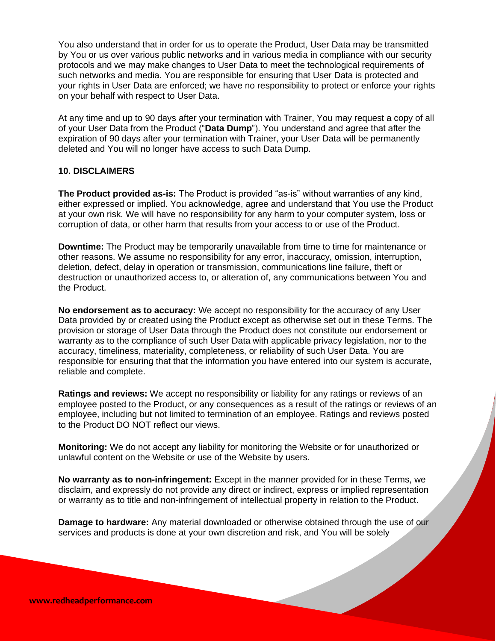You also understand that in order for us to operate the Product, User Data may be transmitted by You or us over various public networks and in various media in compliance with our security protocols and we may make changes to User Data to meet the technological requirements of such networks and media. You are responsible for ensuring that User Data is protected and your rights in User Data are enforced; we have no responsibility to protect or enforce your rights on your behalf with respect to User Data.

At any time and up to 90 days after your termination with Trainer, You may request a copy of all of your User Data from the Product ("**Data Dump**"). You understand and agree that after the expiration of 90 days after your termination with Trainer, your User Data will be permanently deleted and You will no longer have access to such Data Dump.

#### **10. DISCLAIMERS**

**The Product provided as-is:** The Product is provided "as-is" without warranties of any kind, either expressed or implied. You acknowledge, agree and understand that You use the Product at your own risk. We will have no responsibility for any harm to your computer system, loss or corruption of data, or other harm that results from your access to or use of the Product.

**Downtime:** The Product may be temporarily unavailable from time to time for maintenance or other reasons. We assume no responsibility for any error, inaccuracy, omission, interruption, deletion, defect, delay in operation or transmission, communications line failure, theft or destruction or unauthorized access to, or alteration of, any communications between You and the Product.

**No endorsement as to accuracy:** We accept no responsibility for the accuracy of any User Data provided by or created using the Product except as otherwise set out in these Terms. The provision or storage of User Data through the Product does not constitute our endorsement or warranty as to the compliance of such User Data with applicable privacy legislation, nor to the accuracy, timeliness, materiality, completeness, or reliability of such User Data. You are responsible for ensuring that that the information you have entered into our system is accurate, reliable and complete.

**Ratings and reviews:** We accept no responsibility or liability for any ratings or reviews of an employee posted to the Product, or any consequences as a result of the ratings or reviews of an employee, including but not limited to termination of an employee. Ratings and reviews posted to the Product DO NOT reflect our views.

**Monitoring:** We do not accept any liability for monitoring the Website or for unauthorized or unlawful content on the Website or use of the Website by users.

**No warranty as to non-infringement:** Except in the manner provided for in these Terms, we disclaim, and expressly do not provide any direct or indirect, express or implied representation or warranty as to title and non-infringement of intellectual property in relation to the Product.

**Damage to hardware:** Any material downloaded or otherwise obtained through the use of our services and products is done at your own discretion and risk, and You will be solely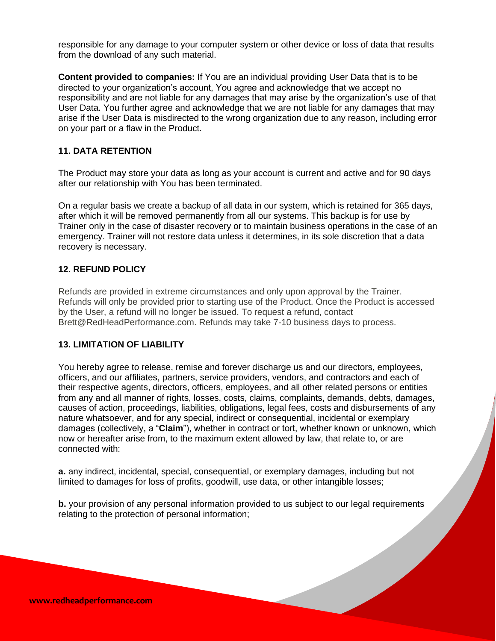responsible for any damage to your computer system or other device or loss of data that results from the download of any such material.

**Content provided to companies:** If You are an individual providing User Data that is to be directed to your organization's account, You agree and acknowledge that we accept no responsibility and are not liable for any damages that may arise by the organization's use of that User Data. You further agree and acknowledge that we are not liable for any damages that may arise if the User Data is misdirected to the wrong organization due to any reason, including error on your part or a flaw in the Product.

## **11. DATA RETENTION**

The Product may store your data as long as your account is current and active and for 90 days after our relationship with You has been terminated.

On a regular basis we create a backup of all data in our system, which is retained for 365 days, after which it will be removed permanently from all our systems. This backup is for use by Trainer only in the case of disaster recovery or to maintain business operations in the case of an emergency. Trainer will not restore data unless it determines, in its sole discretion that a data recovery is necessary.

## **12. REFUND POLICY**

Refunds are provided in extreme circumstances and only upon approval by the Trainer. Refunds will only be provided prior to starting use of the Product. Once the Product is accessed by the User, a refund will no longer be issued. To request a refund, contact Brett@RedHeadPerformance.com. Refunds may take 7-10 business days to process.

#### **13. LIMITATION OF LIABILITY**

You hereby agree to release, remise and forever discharge us and our directors, employees, officers, and our affiliates, partners, service providers, vendors, and contractors and each of their respective agents, directors, officers, employees, and all other related persons or entities from any and all manner of rights, losses, costs, claims, complaints, demands, debts, damages, causes of action, proceedings, liabilities, obligations, legal fees, costs and disbursements of any nature whatsoever, and for any special, indirect or consequential, incidental or exemplary damages (collectively, a "**Claim**"), whether in contract or tort, whether known or unknown, which now or hereafter arise from, to the maximum extent allowed by law, that relate to, or are connected with:

**a.** any indirect, incidental, special, consequential, or exemplary damages, including but not limited to damages for loss of profits, goodwill, use data, or other intangible losses;

**b.** your provision of any personal information provided to us subject to our legal requirements relating to the protection of personal information;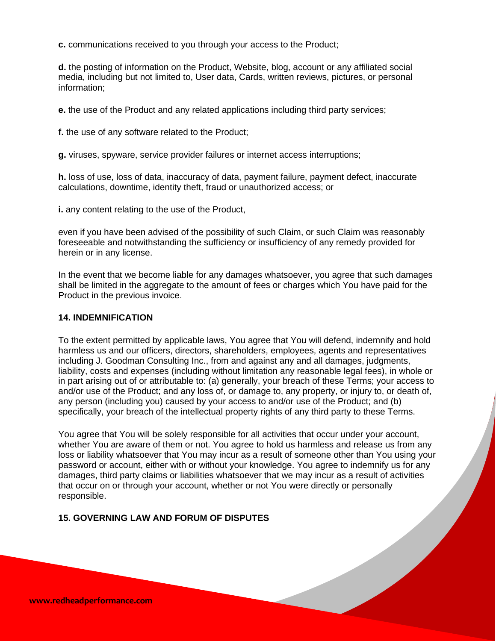**c.** communications received to you through your access to the Product;

**d.** the posting of information on the Product, Website, blog, account or any affiliated social media, including but not limited to, User data, Cards, written reviews, pictures, or personal information;

**e.** the use of the Product and any related applications including third party services;

**f.** the use of any software related to the Product;

**g.** viruses, spyware, service provider failures or internet access interruptions;

**h.** loss of use, loss of data, inaccuracy of data, payment failure, payment defect, inaccurate calculations, downtime, identity theft, fraud or unauthorized access; or

**i.** any content relating to the use of the Product,

even if you have been advised of the possibility of such Claim, or such Claim was reasonably foreseeable and notwithstanding the sufficiency or insufficiency of any remedy provided for herein or in any license.

In the event that we become liable for any damages whatsoever, you agree that such damages shall be limited in the aggregate to the amount of fees or charges which You have paid for the Product in the previous invoice.

## **14. INDEMNIFICATION**

To the extent permitted by applicable laws, You agree that You will defend, indemnify and hold harmless us and our officers, directors, shareholders, employees, agents and representatives including J. Goodman Consulting Inc., from and against any and all damages, judgments, liability, costs and expenses (including without limitation any reasonable legal fees), in whole or in part arising out of or attributable to: (a) generally, your breach of these Terms; your access to and/or use of the Product; and any loss of, or damage to, any property, or injury to, or death of, any person (including you) caused by your access to and/or use of the Product; and (b) specifically, your breach of the intellectual property rights of any third party to these Terms.

You agree that You will be solely responsible for all activities that occur under your account, whether You are aware of them or not. You agree to hold us harmless and release us from any loss or liability whatsoever that You may incur as a result of someone other than You using your password or account, either with or without your knowledge. You agree to indemnify us for any damages, third party claims or liabilities whatsoever that we may incur as a result of activities that occur on or through your account, whether or not You were directly or personally responsible.

## **15. GOVERNING LAW AND FORUM OF DISPUTES**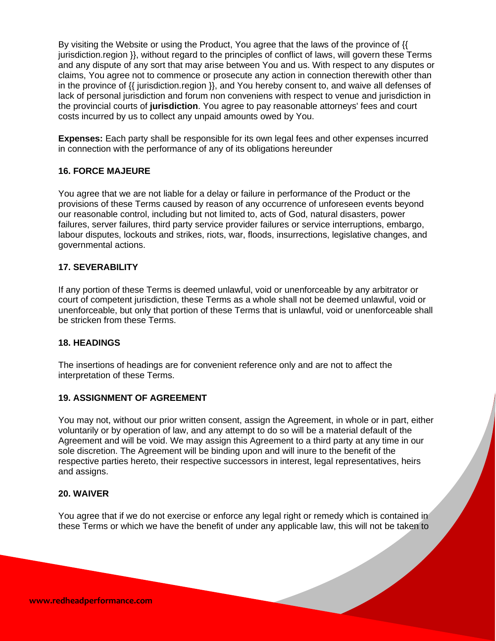By visiting the Website or using the Product, You agree that the laws of the province of {{ jurisdiction.region }}, without regard to the principles of conflict of laws, will govern these Terms and any dispute of any sort that may arise between You and us. With respect to any disputes or claims, You agree not to commence or prosecute any action in connection therewith other than in the province of  $\{$  jurisdiction.region  $\}$ , and You hereby consent to, and waive all defenses of lack of personal jurisdiction and forum non conveniens with respect to venue and jurisdiction in the provincial courts of **jurisdiction**. You agree to pay reasonable attorneys' fees and court costs incurred by us to collect any unpaid amounts owed by You.

**Expenses:** Each party shall be responsible for its own legal fees and other expenses incurred in connection with the performance of any of its obligations hereunder

## **16. FORCE MAJEURE**

You agree that we are not liable for a delay or failure in performance of the Product or the provisions of these Terms caused by reason of any occurrence of unforeseen events beyond our reasonable control, including but not limited to, acts of God, natural disasters, power failures, server failures, third party service provider failures or service interruptions, embargo, labour disputes, lockouts and strikes, riots, war, floods, insurrections, legislative changes, and governmental actions.

## **17. SEVERABILITY**

If any portion of these Terms is deemed unlawful, void or unenforceable by any arbitrator or court of competent jurisdiction, these Terms as a whole shall not be deemed unlawful, void or unenforceable, but only that portion of these Terms that is unlawful, void or unenforceable shall be stricken from these Terms.

#### **18. HEADINGS**

The insertions of headings are for convenient reference only and are not to affect the interpretation of these Terms.

## **19. ASSIGNMENT OF AGREEMENT**

You may not, without our prior written consent, assign the Agreement, in whole or in part, either voluntarily or by operation of law, and any attempt to do so will be a material default of the Agreement and will be void. We may assign this Agreement to a third party at any time in our sole discretion. The Agreement will be binding upon and will inure to the benefit of the respective parties hereto, their respective successors in interest, legal representatives, heirs and assigns.

#### **20. WAIVER**

You agree that if we do not exercise or enforce any legal right or remedy which is contained in these Terms or which we have the benefit of under any applicable law, this will not be taken to